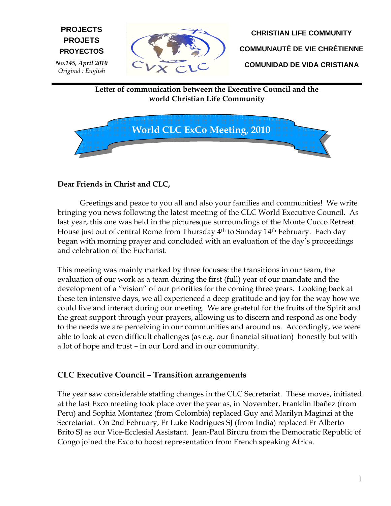**CHRISTIAN LIFE COMMUNITY COMMUNAUTÉ DE VIE CHRÉTIENNE COMUNIDAD DE VIDA CRISTIANA** 

Letter of communication between the Executive Council and the world Christian Life Community



## Dear Friends in Christ and CLC,

E **PROYECTOS**

No.145, April 2010 Original : English

**PROJECTS PROJETS** 

Greetings and peace to you all and also your families and communities! We write bringing you news following the latest meeting of the CLC World Executive Council. As last year, this one was held in the picturesque surroundings of the Monte Cucco Retreat House just out of central Rome from Thursday 4th to Sunday 14th February. Each day began with morning prayer and concluded with an evaluation of the day's proceedings and celebration of the Eucharist.

This meeting was mainly marked by three focuses: the transitions in our team, the evaluation of our work as a team during the first (full) year of our mandate and the development of a "vision" of our priorities for the coming three years. Looking back at these ten intensive days, we all experienced a deep gratitude and joy for the way how we could live and interact during our meeting. We are grateful for the fruits of the Spirit and the great support through your prayers, allowing us to discern and respond as one body to the needs we are perceiving in our communities and around us. Accordingly, we were able to look at even difficult challenges (as e.g. our financial situation) honestly but with a lot of hope and trust – in our Lord and in our community.

#### CLC Executive Council – Transition arrangements

The year saw considerable staffing changes in the CLC Secretariat. These moves, initiated at the last Exco meeting took place over the year as, in November, Franklin Ibañez (from Peru) and Sophia Montañez (from Colombia) replaced Guy and Marilyn Maginzi at the Secretariat. On 2nd February, Fr Luke Rodrigues SJ (from India) replaced Fr Alberto Brito SJ as our Vice-Ecclesial Assistant. Jean-Paul Biruru from the Democratic Republic of Congo joined the Exco to boost representation from French speaking Africa.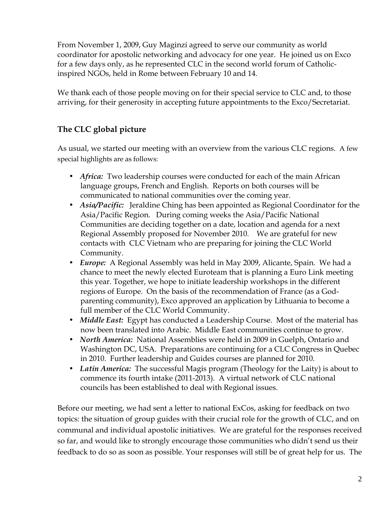From November 1, 2009, Guy Maginzi agreed to serve our community as world coordinator for apostolic networking and advocacy for one year. He joined us on Exco for a few days only, as he represented CLC in the second world forum of Catholicinspired NGOs, held in Rome between February 10 and 14.

We thank each of those people moving on for their special service to CLC and, to those arriving, for their generosity in accepting future appointments to the Exco/Secretariat.

# The CLC global picture

As usual, we started our meeting with an overview from the various CLC regions. A few special highlights are as follows:

- Africa: Two leadership courses were conducted for each of the main African language groups, French and English. Reports on both courses will be communicated to national communities over the coming year.
- Asia/Pacific: Jeraldine Ching has been appointed as Regional Coordinator for the Asia/Pacific Region. During coming weeks the Asia/Pacific National Communities are deciding together on a date, location and agenda for a next Regional Assembly proposed for November 2010. We are grateful for new contacts with CLC Vietnam who are preparing for joining the CLC World Community.
- Europe: A Regional Assembly was held in May 2009, Alicante, Spain. We had a chance to meet the newly elected Euroteam that is planning a Euro Link meeting this year. Together, we hope to initiate leadership workshops in the different regions of Europe. On the basis of the recommendation of France (as a Godparenting community), Exco approved an application by Lithuania to become a full member of the CLC World Community.
- Middle East: Egypt has conducted a Leadership Course. Most of the material has now been translated into Arabic. Middle East communities continue to grow.
- *North America:* National Assemblies were held in 2009 in Guelph, Ontario and Washington DC, USA. Preparations are continuing for a CLC Congress in Quebec in 2010. Further leadership and Guides courses are planned for 2010.
- Latin America: The successful Magis program (Theology for the Laity) is about to commence its fourth intake (2011-2013). A virtual network of CLC national councils has been established to deal with Regional issues.

Before our meeting, we had sent a letter to national ExCos, asking for feedback on two topics: the situation of group guides with their crucial role for the growth of CLC, and on communal and individual apostolic initiatives. We are grateful for the responses received so far, and would like to strongly encourage those communities who didn't send us their feedback to do so as soon as possible. Your responses will still be of great help for us. The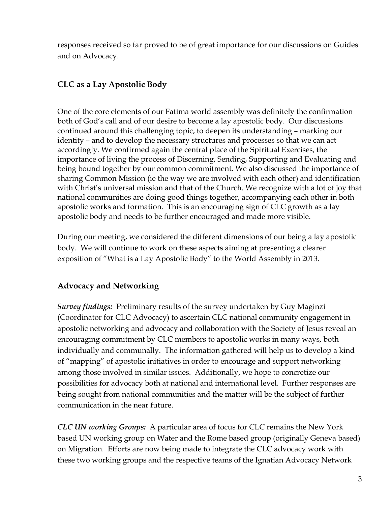responses received so far proved to be of great importance for our discussions on Guides and on Advocacy.

## CLC as a Lay Apostolic Body

One of the core elements of our Fatima world assembly was definitely the confirmation both of God's call and of our desire to become a lay apostolic body. Our discussions continued around this challenging topic, to deepen its understanding – marking our identity – and to develop the necessary structures and processes so that we can act accordingly. We confirmed again the central place of the Spiritual Exercises, the importance of living the process of Discerning, Sending, Supporting and Evaluating and being bound together by our common commitment. We also discussed the importance of sharing Common Mission (ie the way we are involved with each other) and identification with Christ's universal mission and that of the Church. We recognize with a lot of joy that national communities are doing good things together, accompanying each other in both apostolic works and formation. This is an encouraging sign of CLC growth as a lay apostolic body and needs to be further encouraged and made more visible.

During our meeting, we considered the different dimensions of our being a lay apostolic body. We will continue to work on these aspects aiming at presenting a clearer exposition of "What is a Lay Apostolic Body" to the World Assembly in 2013.

## Advocacy and Networking

Survey findings: Preliminary results of the survey undertaken by Guy Maginzi (Coordinator for CLC Advocacy) to ascertain CLC national community engagement in apostolic networking and advocacy and collaboration with the Society of Jesus reveal an encouraging commitment by CLC members to apostolic works in many ways, both individually and communally. The information gathered will help us to develop a kind of "mapping" of apostolic initiatives in order to encourage and support networking among those involved in similar issues. Additionally, we hope to concretize our possibilities for advocacy both at national and international level. Further responses are being sought from national communities and the matter will be the subject of further communication in the near future.

CLC UN working Groups: A particular area of focus for CLC remains the New York based UN working group on Water and the Rome based group (originally Geneva based) on Migration. Efforts are now being made to integrate the CLC advocacy work with these two working groups and the respective teams of the Ignatian Advocacy Network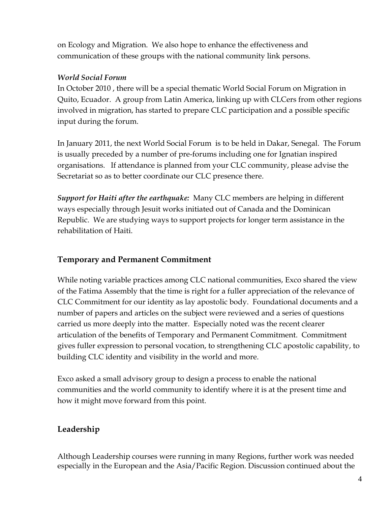on Ecology and Migration. We also hope to enhance the effectiveness and communication of these groups with the national community link persons.

## World Social Forum

In October 2010 , there will be a special thematic World Social Forum on Migration in Quito, Ecuador. A group from Latin America, linking up with CLCers from other regions involved in migration, has started to prepare CLC participation and a possible specific input during the forum.

In January 2011, the next World Social Forum is to be held in Dakar, Senegal. The Forum is usually preceded by a number of pre-forums including one for Ignatian inspired organisations. If attendance is planned from your CLC community, please advise the Secretariat so as to better coordinate our CLC presence there.

Support for Haiti after the earthquake: Many CLC members are helping in different ways especially through Jesuit works initiated out of Canada and the Dominican Republic. We are studying ways to support projects for longer term assistance in the rehabilitation of Haiti.

## Temporary and Permanent Commitment

While noting variable practices among CLC national communities, Exco shared the view of the Fatima Assembly that the time is right for a fuller appreciation of the relevance of CLC Commitment for our identity as lay apostolic body. Foundational documents and a number of papers and articles on the subject were reviewed and a series of questions carried us more deeply into the matter. Especially noted was the recent clearer articulation of the benefits of Temporary and Permanent Commitment. Commitment gives fuller expression to personal vocation, to strengthening CLC apostolic capability, to building CLC identity and visibility in the world and more.

Exco asked a small advisory group to design a process to enable the national communities and the world community to identify where it is at the present time and how it might move forward from this point.

# Leadership

Although Leadership courses were running in many Regions, further work was needed especially in the European and the Asia/Pacific Region. Discussion continued about the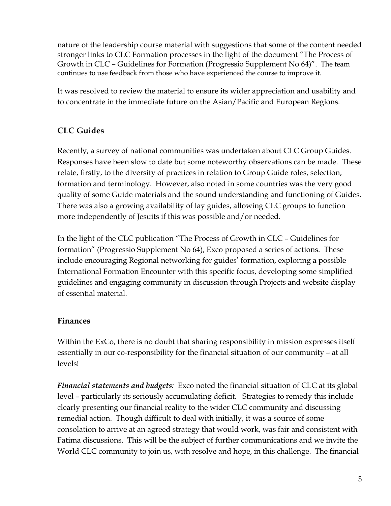nature of the leadership course material with suggestions that some of the content needed stronger links to CLC Formation processes in the light of the document "The Process of Growth in CLC – Guidelines for Formation (Progressio Supplement No 64)". The team continues to use feedback from those who have experienced the course to improve it.

It was resolved to review the material to ensure its wider appreciation and usability and to concentrate in the immediate future on the Asian/Pacific and European Regions.

## CLC Guides

Recently, a survey of national communities was undertaken about CLC Group Guides. Responses have been slow to date but some noteworthy observations can be made. These relate, firstly, to the diversity of practices in relation to Group Guide roles, selection, formation and terminology. However, also noted in some countries was the very good quality of some Guide materials and the sound understanding and functioning of Guides. There was also a growing availability of lay guides, allowing CLC groups to function more independently of Jesuits if this was possible and/or needed.

In the light of the CLC publication "The Process of Growth in CLC – Guidelines for formation" (Progressio Supplement No 64), Exco proposed a series of actions. These include encouraging Regional networking for guides' formation, exploring a possible International Formation Encounter with this specific focus, developing some simplified guidelines and engaging community in discussion through Projects and website display of essential material.

## Finances

Within the ExCo, there is no doubt that sharing responsibility in mission expresses itself essentially in our co-responsibility for the financial situation of our community – at all levels!

Financial statements and budgets: Exco noted the financial situation of CLC at its global level – particularly its seriously accumulating deficit. Strategies to remedy this include clearly presenting our financial reality to the wider CLC community and discussing remedial action. Though difficult to deal with initially, it was a source of some consolation to arrive at an agreed strategy that would work, was fair and consistent with Fatima discussions. This will be the subject of further communications and we invite the World CLC community to join us, with resolve and hope, in this challenge. The financial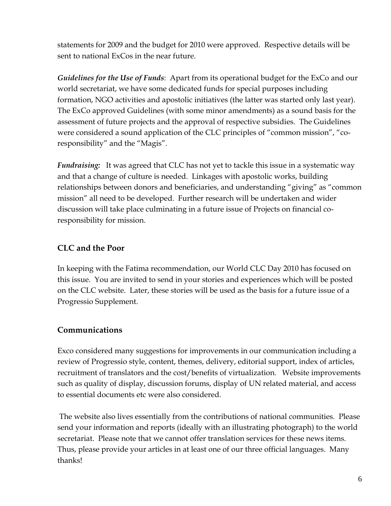statements for 2009 and the budget for 2010 were approved. Respective details will be sent to national ExCos in the near future.

Guidelines for the Use of Funds: Apart from its operational budget for the ExCo and our world secretariat, we have some dedicated funds for special purposes including formation, NGO activities and apostolic initiatives (the latter was started only last year). The ExCo approved Guidelines (with some minor amendments) as a sound basis for the assessment of future projects and the approval of respective subsidies. The Guidelines were considered a sound application of the CLC principles of "common mission", "coresponsibility" and the "Magis".

**Fundraising:** It was agreed that CLC has not yet to tackle this issue in a systematic way and that a change of culture is needed. Linkages with apostolic works, building relationships between donors and beneficiaries, and understanding "giving" as "common mission" all need to be developed. Further research will be undertaken and wider discussion will take place culminating in a future issue of Projects on financial coresponsibility for mission.

## CLC and the Poor

In keeping with the Fatima recommendation, our World CLC Day 2010 has focused on this issue. You are invited to send in your stories and experiences which will be posted on the CLC website. Later, these stories will be used as the basis for a future issue of a Progressio Supplement.

## Communications

Exco considered many suggestions for improvements in our communication including a review of Progressio style, content, themes, delivery, editorial support, index of articles, recruitment of translators and the cost/benefits of virtualization. Website improvements such as quality of display, discussion forums, display of UN related material, and access to essential documents etc were also considered.

 The website also lives essentially from the contributions of national communities. Please send your information and reports (ideally with an illustrating photograph) to the world secretariat. Please note that we cannot offer translation services for these news items. Thus, please provide your articles in at least one of our three official languages. Many thanks!